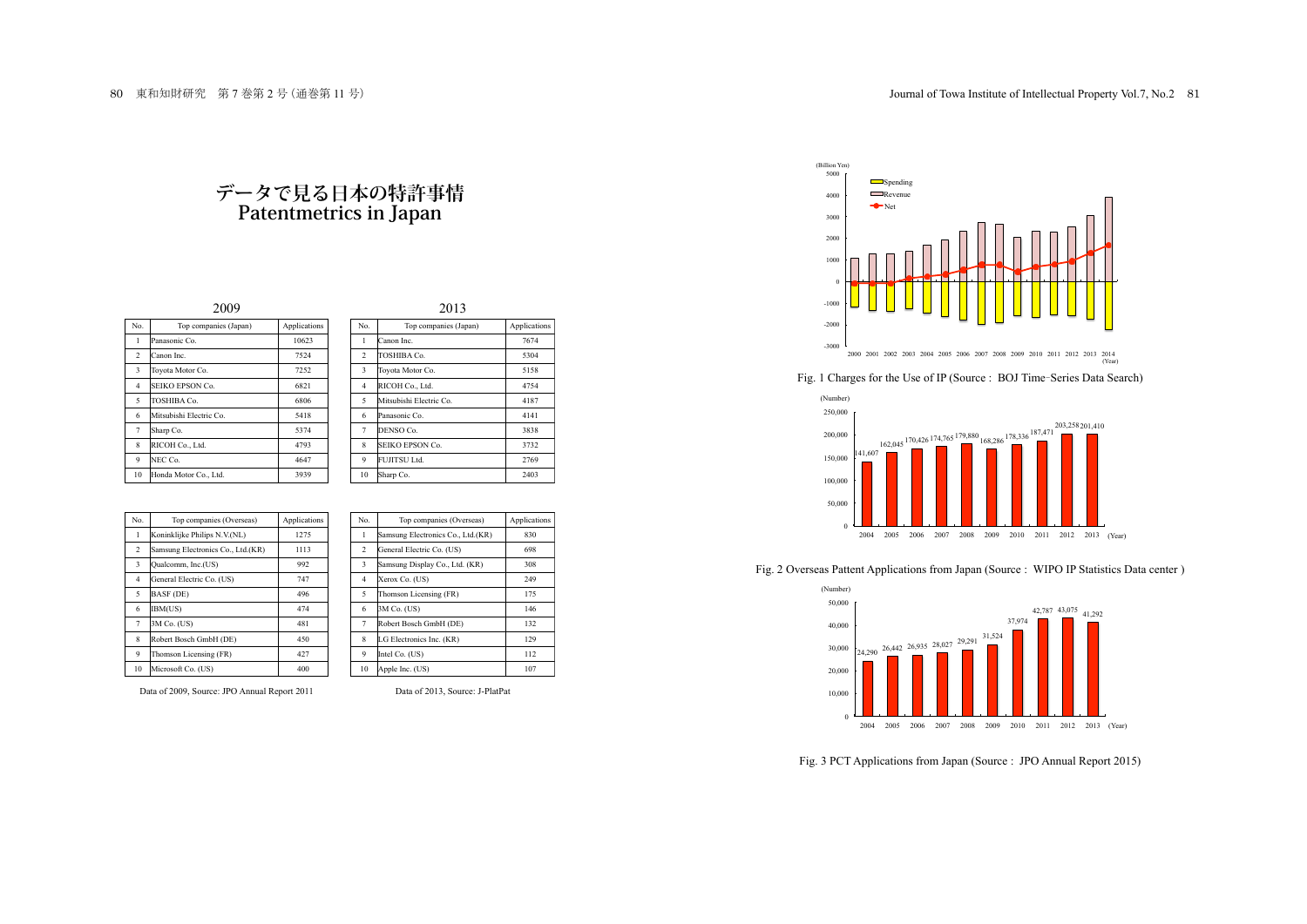## **データで見る日本の特許事情 Patentmetrics in Japan**

| $\sim$                  |                         | 201J         |  |                |                         |           |
|-------------------------|-------------------------|--------------|--|----------------|-------------------------|-----------|
| Ñ٥                      | Top companies (Japan)   | Applications |  | No.            | Top companies (Japan)   | Applicati |
| $\mathbf{1}$            | Panasonic Co.           | 10623        |  | 1              | Canon Inc.              | 7674      |
| $\overline{2}$          | Canon Inc.              | 7524         |  | $\overline{2}$ | TOSHIBA Co.             | 5304      |
| $\overline{\mathbf{3}}$ | Toyota Motor Co.        | 7252         |  | 3              | Toyota Motor Co.        | 5158      |
| $\overline{4}$          | SEIKO EPSON Co.         | 6821         |  | $\overline{4}$ | RICOH Co., Ltd.         | 4754      |
| 5                       | TOSHIBA Co.             | 6806         |  | 5              | Mitsubishi Electric Co. | 4187      |
| 6                       | Mitsubishi Electric Co. | 5418         |  | 6              | Panasonic Co.           | 4141      |
| $\tau$                  | Sharp Co.               | 5374         |  | $\overline{7}$ | DENSO Co.               | 3838      |
| 8                       | RICOH Co., Ltd.         | 4793         |  | 8              | <b>SEIKO EPSON Co.</b>  | 3732      |
| 9                       | NEC Co.                 | 4647         |  | 9              | FUJITSU Ltd.            | 2769      |
| 10                      | Honda Motor Co., Ltd.   | 3939         |  | 10             | Sharp Co.               | 2403      |

| 2009                    |                         |              | 2013                    |                         |              |  |
|-------------------------|-------------------------|--------------|-------------------------|-------------------------|--------------|--|
| No.                     | Top companies (Japan)   | Applications | No.                     | Top companies (Japan)   | Applications |  |
| $\mathbf{1}$            | Panasonic Co.           | 10623        |                         | Canon Inc.              | 7674         |  |
| 2                       | Canon Inc.              | 7524         | $\overline{2}$          | TOSHIBA Co.             | 5304         |  |
| $\overline{\mathbf{3}}$ | Toyota Motor Co.        | 7252         | $\overline{\mathbf{3}}$ | Toyota Motor Co.        | 5158         |  |
| $\overline{4}$          | <b>SEIKO EPSON Co.</b>  | 6821         | 4                       | RICOH Co., Ltd.         | 4754         |  |
| $\overline{5}$          | TOSHIBA Co.             | 6806         | 5                       | Mitsubishi Electric Co. | 4187         |  |
| 6                       | Mitsubishi Electric Co. | 5418         | 6                       | Panasonic Co.           | 4141         |  |
| $7\phantom{.0}$         | Sharp Co.               | 5374         | 7                       | DENSO Co.               | 3838         |  |
| 8                       | RICOH Co., Ltd.         | 4793         | 8                       | SEIKO EPSON Co.         | 3732         |  |
| 9                       | NEC Co.                 | 4647         | 9                       | FUJITSU Ltd.            | 2769         |  |
|                         | 10 Honda Motor Co. Ltd. | 2020         | 10 <sup>1</sup>         | ChomCo                  | 2402         |  |

| No.                     | Top companies (Overseas)          | Applications | No.            | Top companies (Overseas)          | Applicat |
|-------------------------|-----------------------------------|--------------|----------------|-----------------------------------|----------|
| 1                       | Koninklijke Philips N.V.(NL)      | 1275         |                | Samsung Electronics Co., Ltd.(KR) | 830      |
| $\overline{\mathbf{c}}$ | Samsung Electronics Co., Ltd.(KR) | 1113         | 2              | General Electric Co. (US)         | 698      |
| $\overline{\mathbf{3}}$ | Qualcomm, Inc.(US)                | 992          | 3              | Samsung Display Co., Ltd. (KR)    | 308      |
| $\overline{4}$          | General Electric Co. (US)         | 747          | $\overline{4}$ | Xerox Co. (US)                    | 249      |
| 5                       | BASF (DE)                         | 496          | 5              | Thomson Licensing (FR)            | 175      |
| 6                       | IBM(US)                           | 474          | 6              | $3M$ Co. (US)                     | 146      |
| $\overline{7}$          | $3M$ Co. (US)                     | 481          | 7              | Robert Bosch GmbH (DE)            | 132      |
| 8                       | Robert Bosch GmbH (DE)            | 450          | 8              | LG Electronics Inc. (KR)          | 129      |
| 9                       | Thomson Licensing (FR)            | 427          | 9              | Intel Co. (US)                    | 112      |
| 10                      | Microsoft Co. (US)                | 400          | 10             | Apple Inc. (US)                   | 107      |

| No.            | Top companies (Overseas)          | Applications |
|----------------|-----------------------------------|--------------|
|                |                                   |              |
|                | Samsung Electronics Co., Ltd.(KR) | 830          |
| $\overline{c}$ | General Electric Co. (US)         | 698          |
| 3              | Samsung Display Co., Ltd. (KR)    | 308          |
| $\overline{4}$ | Xerox Co. (US)                    | 249          |
| 5              | Thomson Licensing (FR)            | 175          |
| 6              | 3M Co. (US)                       | 146          |
| 7              | Robert Bosch GmbH (DE)            | 132          |
| 8              | LG Electronics Inc. (KR)          | 129          |
| 9              | Intel Co. (US)                    | 112          |
| 10             | Apple Inc. (US)                   | 107          |

Data of 2009, Source: JPO Annual Report 2011 Data of 2013, Source: J-PlatPat



Fig. <sup>1</sup> Charges for the Use of IP (Source : BOJ Time-Series Data Search)



Fig. 2 Overseas Pattent Applications from Japan (Source : WIPO IP Statistics Data center )



Fig. 3 PCT Applications from Japan (Source : JPO Annual Report 2015)